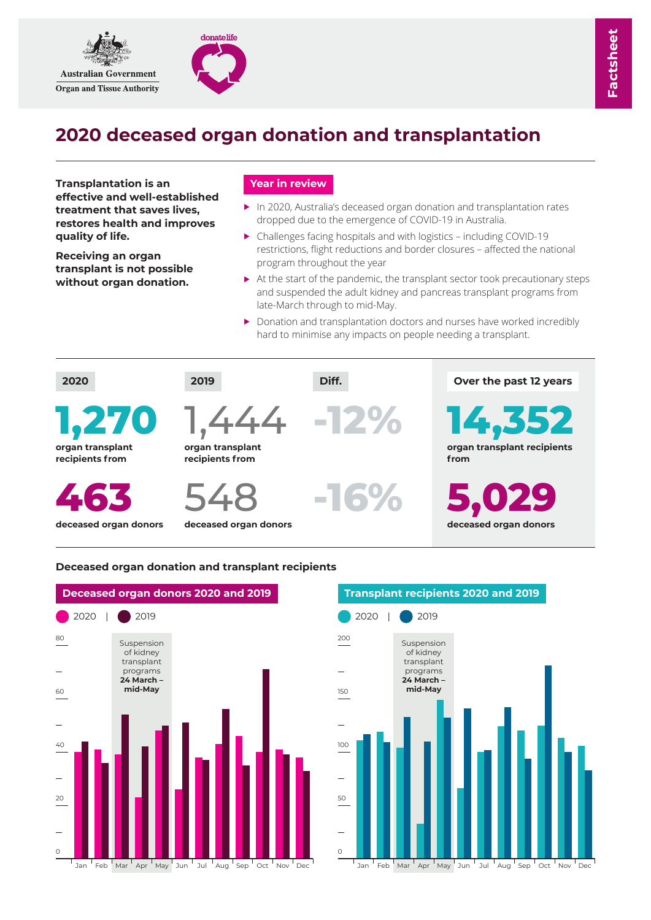

# **2020 deceased organ donation and transplantation**

**Transplantation is an effective and well-established treatment that saves lives, restores health and improves quality of life.**

**Receiving an organ transplant is not possible without organ donation.**

## **Year in review**

donatelife

- ► In 2020, Australia's deceased organ donation and transplantation rates dropped due to the emergence of COVID-19 in Australia.
- ► Challenges facing hospitals and with logistics including COVID-19 restrictions, flight reductions and border closures – affected the national program throughout the year
- ▶ At the start of the pandemic, the transplant sector took precautionary steps and suspended the adult kidney and pancreas transplant programs from late-March through to mid-May.
- ► Donation and transplantation doctors and nurses have worked incredibly hard to minimise any impacts on people needing a transplant.



### **Deceased organ donation and transplant recipients**